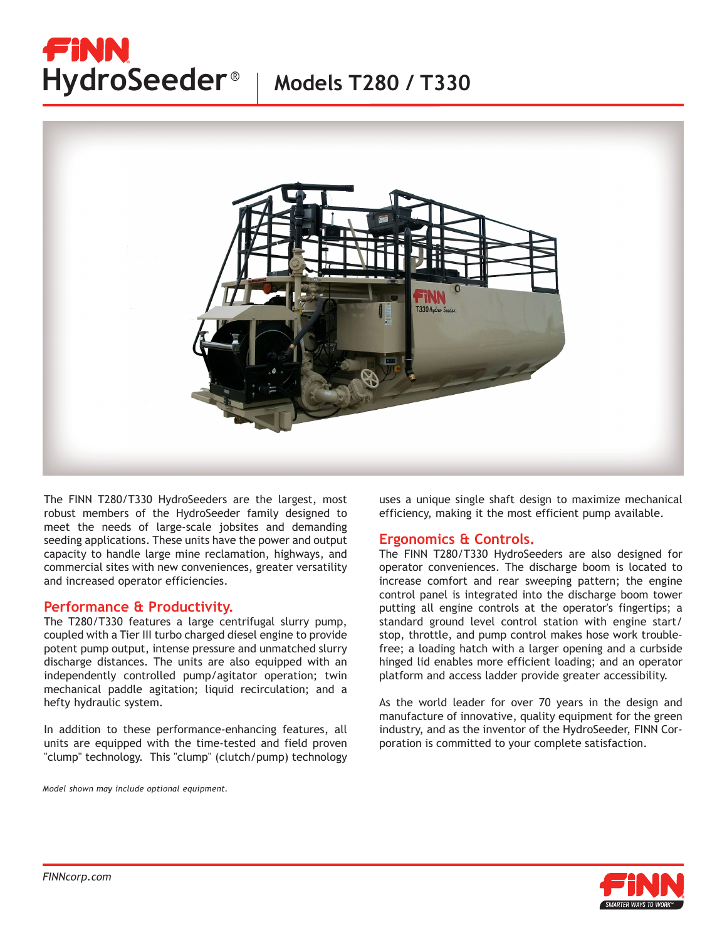# FINN HydroSeeder<sup>®</sup> | Models T280 / T330



The FINN T280/T330 HydroSeeders are the largest, most robust members of the HydroSeeder family designed to meet the needs of large-scale jobsites and demanding seeding applications. These units have the power and output capacity to handle large mine reclamation, highways, and commercial sites with new conveniences, greater versatility and increased operator efficiencies.

### **Performance & Productivity.**

The T280/T330 features a large centrifugal slurry pump, coupled with a Tier III turbo charged diesel engine to provide potent pump output, intense pressure and unmatched slurry discharge distances. The units are also equipped with an independently controlled pump/agitator operation; twin mechanical paddle agitation; liquid recirculation; and a hefty hydraulic system.

In addition to these performance-enhancing features, all units are equipped with the time-tested and field proven "clump" technology. This "clump" (clutch/pump) technology

*Model shown may include optional equipment.*

uses a unique single shaft design to maximize mechanical efficiency, making it the most efficient pump available.

### **Ergonomics & Controls.**

The FINN T280/T330 HydroSeeders are also designed for operator conveniences. The discharge boom is located to increase comfort and rear sweeping pattern; the engine control panel is integrated into the discharge boom tower putting all engine controls at the operator's fingertips; a standard ground level control station with engine start/ stop, throttle, and pump control makes hose work troublefree; a loading hatch with a larger opening and a curbside hinged lid enables more efficient loading; and an operator platform and access ladder provide greater accessibility.

As the world leader for over 70 years in the design and manufacture of innovative, quality equipment for the green industry, and as the inventor of the HydroSeeder, FINN Corporation is committed to your complete satisfaction.